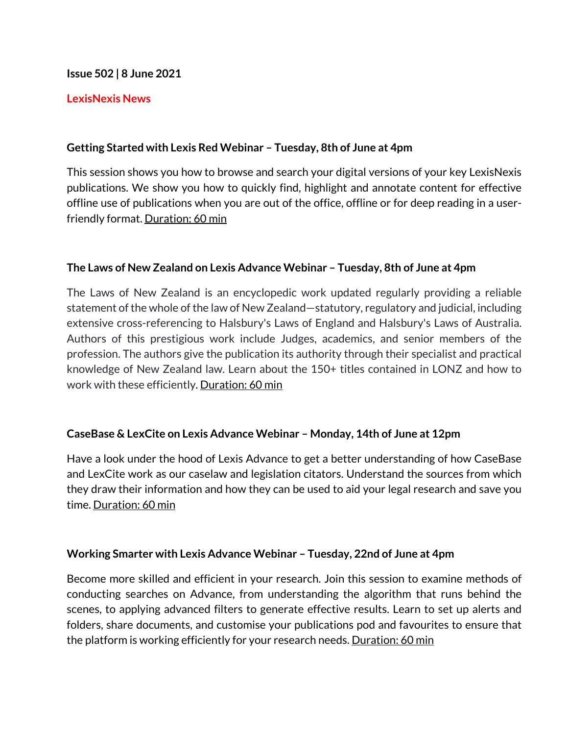#### **Issue 502 | 8 June 2021**

### **LexisNexis News**

### **Getting Started with Lexis Red Webinar – Tuesday, 8th of June at 4pm**

This session shows you how to browse and search your digital versions of your key LexisNexis publications. We show you how to quickly find, highlight and annotate content for effective offline use of publications when you are out of the office, offline or for deep reading in a userfriendly format. Duration: 60 min

#### **The Laws of New Zealand on Lexis Advance Webinar – Tuesday, 8th of June at 4pm**

The Laws of New Zealand is an encyclopedic work updated regularly providing a reliable statement of the whole of the law of New Zealand—statutory, regulatory and judicial, including extensive cross-referencing to Halsbury's Laws of England and Halsbury's Laws of Australia. Authors of this prestigious work include Judges, academics, and senior members of the profession. The authors give the publication its authority through their specialist and practical knowledge of New Zealand law. Learn about the 150+ titles contained in LONZ and how to work with these efficiently. Duration: 60 min

## **CaseBase & LexCite on Lexis Advance Webinar – Monday, 14th of June at 12pm**

Have a look under the hood of Lexis Advance to get a better understanding of how CaseBase and LexCite work as our caselaw and legislation citators. Understand the sources from which they draw their information and how they can be used to aid your legal research and save you time. Duration: 60 min

#### **Working Smarter with Lexis Advance Webinar – Tuesday, 22nd of June at 4pm**

Become more skilled and efficient in your research. Join this session to examine methods of conducting searches on Advance, from understanding the algorithm that runs behind the scenes, to applying advanced filters to generate effective results. Learn to set up alerts and folders, share documents, and customise your publications pod and favourites to ensure that the platform is working efficiently for your research needs. Duration: 60 min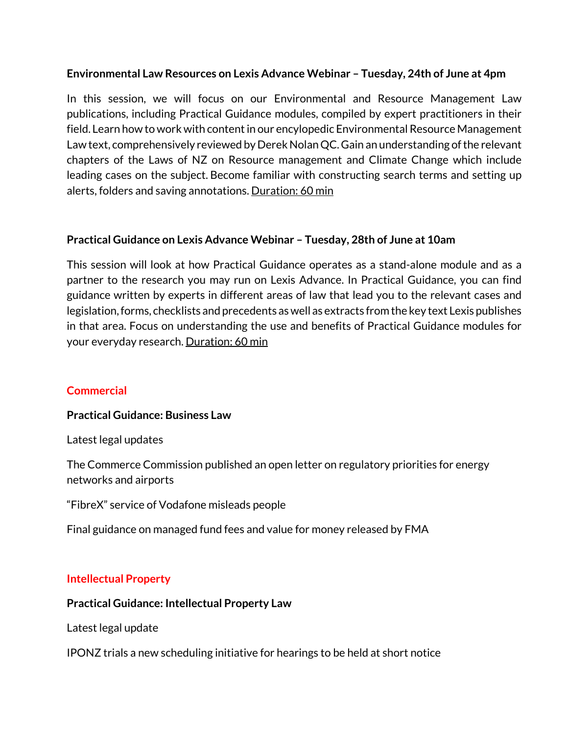## **Environmental Law Resources on Lexis Advance Webinar – Tuesday, 24th of June at 4pm**

In this session, we will focus on our Environmental and Resource Management Law publications, including Practical Guidance modules, compiled by expert practitioners in their field. Learn how to work with content in our encylopedic Environmental Resource Management Law text, comprehensively reviewed by Derek Nolan QC. Gain an understanding of the relevant chapters of the Laws of NZ on Resource management and Climate Change which include leading cases on the subject. Become familiar with constructing search terms and setting up alerts, folders and saving annotations. Duration: 60 min

## **Practical Guidance on Lexis Advance Webinar – Tuesday, 28th of June at 10am**

This session will look at how Practical Guidance operates as a stand-alone module and as a partner to the research you may run on Lexis Advance. In Practical Guidance, you can find guidance written by experts in different areas of law that lead you to the relevant cases and legislation, forms, checklists and precedents as well as extracts from the key text Lexis publishes in that area. Focus on understanding the use and benefits of Practical Guidance modules for your everyday research. Duration: 60 min

## **Commercial**

#### **Practical Guidance: Business Law**

Latest legal updates

The Commerce Commission published an open letter on regulatory priorities for energy networks and airports

"FibreX" service of Vodafone misleads people

Final guidance on managed fund fees and value for money released by FMA

#### **Intellectual Property**

#### **Practical Guidance: Intellectual Property Law**

Latest legal update

IPONZ trials a new scheduling initiative for hearings to be held at short notice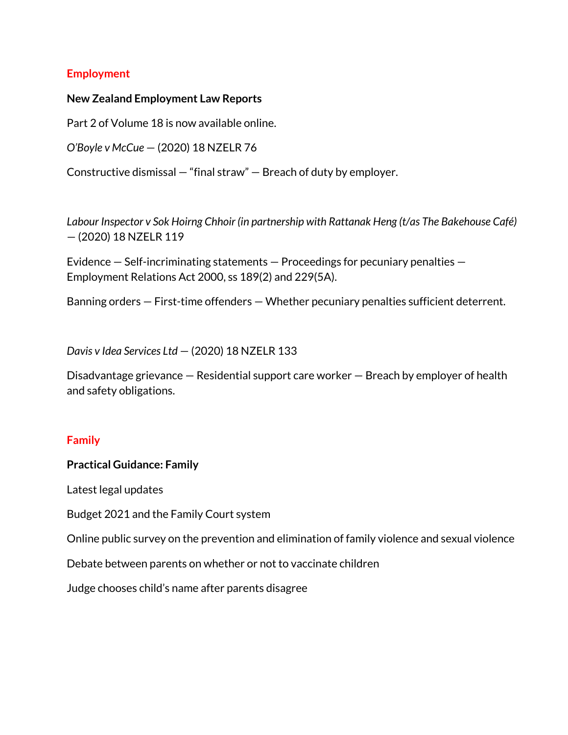### **Employment**

#### **New Zealand Employment Law Reports**

Part 2 of Volume 18 is now available online.

*O'Boyle v McCue* — (2020) 18 NZELR 76

Constructive dismissal — "final straw" — Breach of duty by employer.

*Labour Inspector v Sok Hoirng Chhoir (in partnership with Rattanak Heng (t/as The Bakehouse Café)* — (2020) 18 NZELR 119

Evidence — Self-incriminating statements — Proceedings for pecuniary penalties — Employment Relations Act 2000, ss 189(2) and 229(5A).

Banning orders — First-time offenders — Whether pecuniary penalties sufficient deterrent.

*Davis v Idea Services Ltd* — (2020) 18 NZELR 133

Disadvantage grievance — Residential support care worker — Breach by employer of health and safety obligations.

#### **Family**

#### **Practical Guidance: Family**

Latest legal updates

Budget 2021 and the Family Court system

Online public survey on the prevention and elimination of family violence and sexual violence

Debate between parents on whether or not to vaccinate children

Judge chooses child's name after parents disagree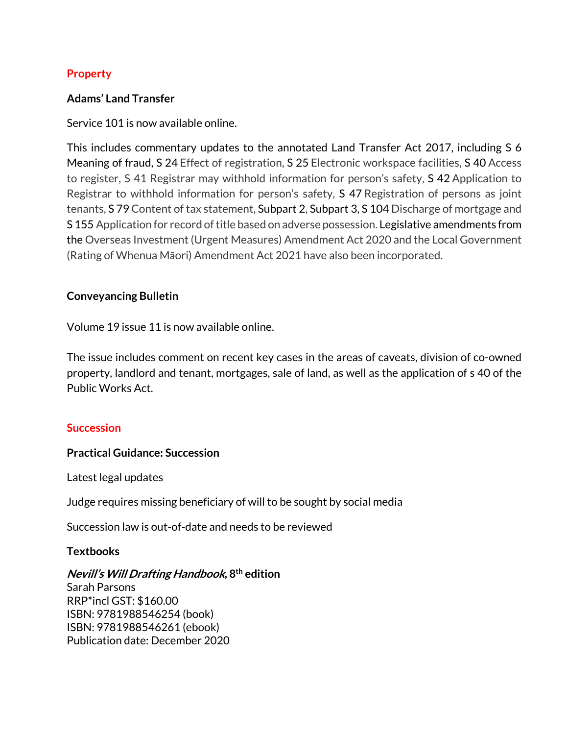# **Property**

# **Adams' Land Transfer**

Service 101 is now available online.

This includes commentary updates to the annotated Land Transfer Act 2017, including S 6 Meaning of fraud, S 24 Effect of registration, S 25 Electronic workspace facilities, S 40 Access to register, S 41 Registrar may withhold information for person's safety, S 42 Application to Registrar to withhold information for person's safety, S 47 Registration of persons as joint tenants, S 79 Content of tax statement, Subpart 2, Subpart 3, S 104 Discharge of mortgage and S 155 Application for record of title based on adverse possession. Legislative amendments from the Overseas Investment (Urgent Measures) Amendment Act 2020 and the Local Government (Rating of Whenua Māori) Amendment Act 2021 have also been incorporated.

## **Conveyancing Bulletin**

Volume 19 issue 11 is now available online.

The issue includes comment on recent key cases in the areas of caveats, division of co-owned property, landlord and tenant, mortgages, sale of land, as well as the application of s 40 of the Public Works Act.

## **Succession**

## **Practical Guidance: Succession**

Latest legal updates

Judge requires missing beneficiary of will to be sought by social media

Succession law is out-of-date and needs to be reviewed

## **Textbooks**

## **Nevill's Will Drafting Handbook, 8th edition**

Sarah Parsons RRP\*incl GST: \$160.00 ISBN: 9781988546254 (book) ISBN: 9781988546261 (ebook) Publication date: December 2020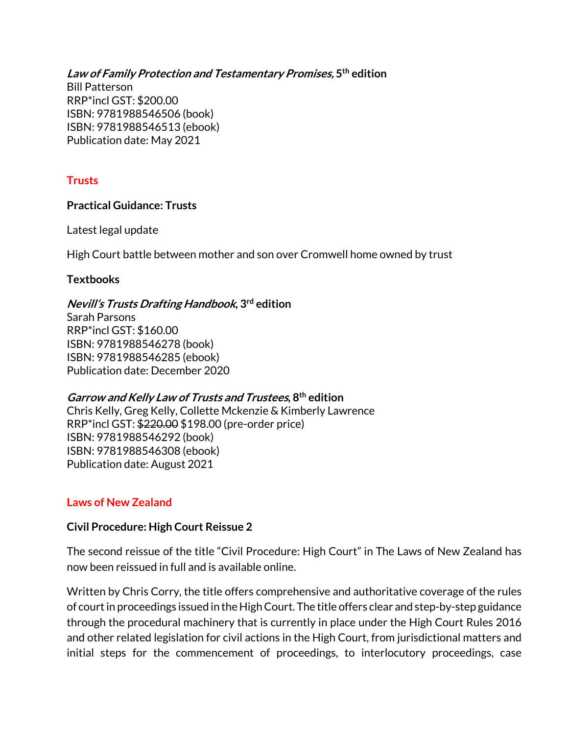**Law of Family Protection and Testamentary Promises, 5th edition** Bill Patterson RRP\*incl GST: \$200.00 ISBN: 9781988546506 (book) ISBN: 9781988546513 (ebook) Publication date: May 2021

#### **Trusts**

### **Practical Guidance: Trusts**

Latest legal update

High Court battle between mother and son over Cromwell home owned by trust

### **Textbooks**

### **Nevill's Trusts Drafting Handbook, 3rd edition**

Sarah Parsons RRP\*incl GST: \$160.00 ISBN: 9781988546278 (book) ISBN: 9781988546285 (ebook) Publication date: December 2020

## **Garrow and Kelly Law of Trusts and Trustees, 8th edition**

Chris Kelly, Greg Kelly, Collette Mckenzie & Kimberly Lawrence RRP\*incl GST: \$220.00 \$198.00 (pre-order price) ISBN: 9781988546292 (book) ISBN: 9781988546308 (ebook) Publication date: August 2021

## **Laws of New Zealand**

#### **Civil Procedure: High Court Reissue 2**

The second reissue of the title "Civil Procedure: High Court" in The Laws of New Zealand has now been reissued in full and is available online.

Written by Chris Corry, the title offers comprehensive and authoritative coverage of the rules of court in proceedings issued in the High Court. The title offers clear and step-by-step guidance through the procedural machinery that is currently in place under the High Court Rules 2016 and other related legislation for civil actions in the High Court, from jurisdictional matters and initial steps for the commencement of proceedings, to interlocutory proceedings, case